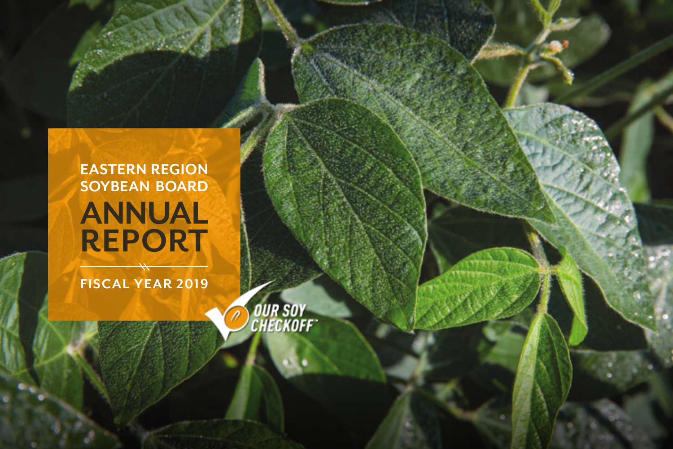# **EASTERN REGION SOYBEAN BOARD ANNUAL REPORT**

**FISCAL YEAR 2019**

**OUR SOY<br>CHECKOFF**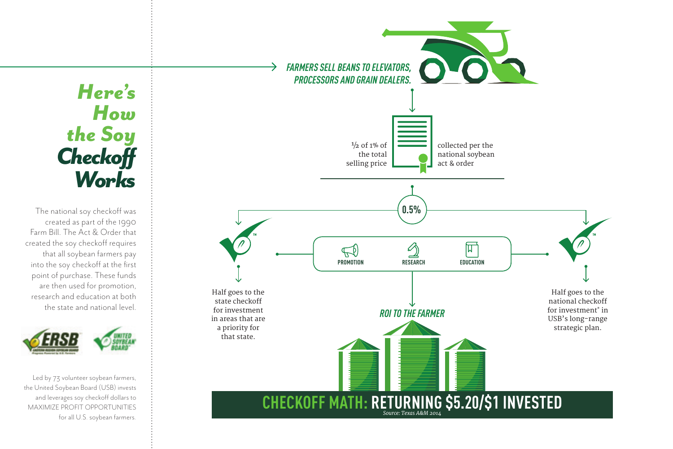# *Here's How the Soy Checkoff Works*

The national soy checkoff was created as part of the 1990 Farm Bill. The Act & Order that created the soy checkoff requires that all soybean farmers pay into the soy checkoff at the first point of purchase. These funds are then used for promotion, research and education at both the state and national level.



 Led by 73 volunteer soybean farmers, the United Soybean Board (USB) invests and leverages soy checkoff dollars to MAXIMIZE PROFIT OPPORTUNITIES for all U.S. soybean farmers.

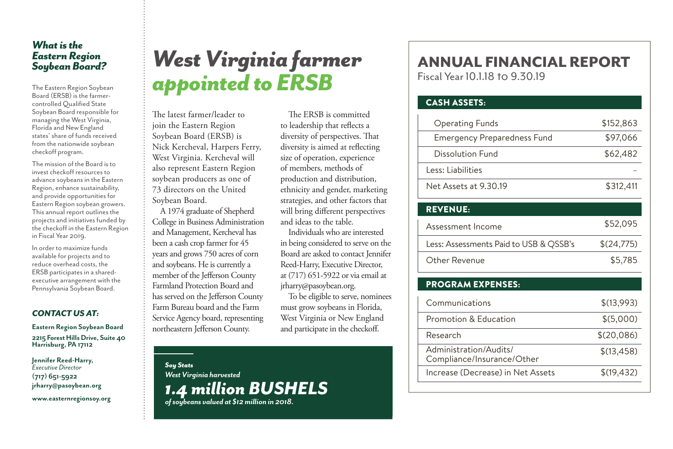### *What is the Eastern Region Soybean Board?*

The Eastern Region Soybean Board (ERSB) is the farmercontrolled Qualified State Soybean Board responsible for managing the West Virginia, Florida and New England states' share of funds received from the nationwide soybean checkoff program.

The mission of the Board is to invest checkoff resources to advance soybeans in the Eastern Region, enhance sustainability, and provide opportunities for Eastern Region soybean growers. This annual report outlines the projects and initiatives funded by the checkoff in the Eastern Region in Fiscal Year 2019.

In order to maximize funds available for projects and to reduce overhead costs, the ERSB participates in a sharedexecutive arrangement with the Pennsylvania Soybean Board.

### *CONTACT US AT:*

**Eastern Region Soybean Board 2215 Forest Hills Drive, Suite 40 Harrisburg, PA 17112**

**Jennifer Reed-Harry,**  *Executive Director*  **(717) 651-5922 jrharry@pasoybean.org**

**www.easternregionsoy.org**

# *West Virginia farmer appointed to ERSB*

The latest farmer/leader to join the Eastern Region Soybean Board (ERSB) is Nick Kercheval, Harpers Ferry, West Virginia. Kercheval will also represent Eastern Region soybean producers as one of 73 directors on the United Soybean Board.

A 1974 graduate of Shepherd College in Business Administration and Management, Kercheval has been a cash crop farmer for 45 years and grows 750 acres of corn and soybeans. He is currently a member of the Jefferson County Farmland Protection Board and has served on the Jefferson County Farm Bureau board and the Farm Service Agency board, representing northeastern Jefferson County.

> *Soy Stats West Virginia harvested 1.4 million BUSHELS*

*of soybeans valued at \$12 million in 2018.*

The ERSB is committed to leadership that reflects a diversity of perspectives. That diversity is aimed at reflecting size of operation, experience of members, methods of production and distribution, ethnicity and gender, marketing strategies, and other factors that will bring different perspectives and ideas to the table.

Individuals who are interested in being considered to serve on the Board are asked to contact Jennifer Reed-Harry, Executive Director, at (717) 651-5922 or via email at jrharry@pasoybean.org.

To be eligible to serve, nominees must grow soybeans in Florida, West Virginia or New England and participate in the checkoff.

## ANNUAL FINANCIAL REPORT

Fiscal Year 10.1.18 to 9.30.19

### CASH ASSETS:

| <b>Operating Funds</b><br>\$152,863<br><b>Emergency Preparedness Fund</b><br>\$97,066<br>Dissolution Fund<br>\$62,482<br>Less: Liabilities<br>Net Assets at 9.30.19<br>\$312,411<br><b>REVENUE:</b><br>\$52,095<br>Assessment Income<br>Less: Assessments Paid to USB & QSSB's<br>\$(24,775)<br>\$5,785<br>Other Revenue<br><b>PROGRAM EXPENSES:</b><br>Communications<br>\$(13,993)<br>Promotion & Education<br>\$(5,000)<br>\$(20,086)<br>Research<br>Administration/Audits/<br>\$(13,458)<br>Compliance/Insurance/Other<br>Increase (Decrease) in Net Assets<br>\$(19,432) |  |
|-------------------------------------------------------------------------------------------------------------------------------------------------------------------------------------------------------------------------------------------------------------------------------------------------------------------------------------------------------------------------------------------------------------------------------------------------------------------------------------------------------------------------------------------------------------------------------|--|
|                                                                                                                                                                                                                                                                                                                                                                                                                                                                                                                                                                               |  |
|                                                                                                                                                                                                                                                                                                                                                                                                                                                                                                                                                                               |  |
|                                                                                                                                                                                                                                                                                                                                                                                                                                                                                                                                                                               |  |
|                                                                                                                                                                                                                                                                                                                                                                                                                                                                                                                                                                               |  |
|                                                                                                                                                                                                                                                                                                                                                                                                                                                                                                                                                                               |  |
|                                                                                                                                                                                                                                                                                                                                                                                                                                                                                                                                                                               |  |
|                                                                                                                                                                                                                                                                                                                                                                                                                                                                                                                                                                               |  |
|                                                                                                                                                                                                                                                                                                                                                                                                                                                                                                                                                                               |  |
|                                                                                                                                                                                                                                                                                                                                                                                                                                                                                                                                                                               |  |
|                                                                                                                                                                                                                                                                                                                                                                                                                                                                                                                                                                               |  |
|                                                                                                                                                                                                                                                                                                                                                                                                                                                                                                                                                                               |  |
|                                                                                                                                                                                                                                                                                                                                                                                                                                                                                                                                                                               |  |
|                                                                                                                                                                                                                                                                                                                                                                                                                                                                                                                                                                               |  |
|                                                                                                                                                                                                                                                                                                                                                                                                                                                                                                                                                                               |  |
|                                                                                                                                                                                                                                                                                                                                                                                                                                                                                                                                                                               |  |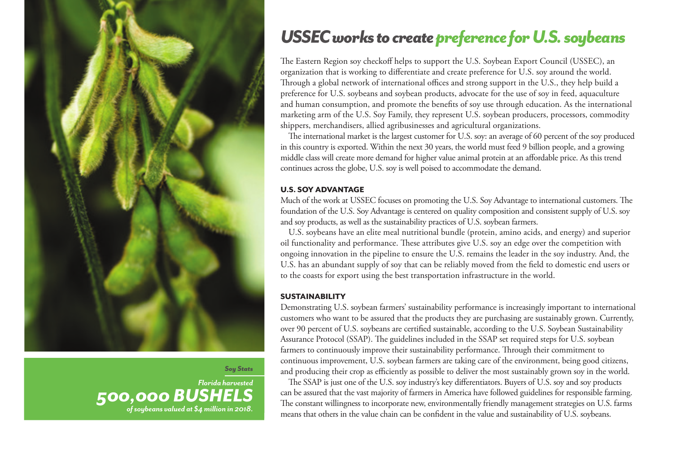

*Soy Stats*

*Florida harvested 500,000 BUSHELS of soybeans valued at \$4 million in 2018.*

### *USSEC works to createpreference for U.S. soybeans*

The Eastern Region soy checkoff helps to support the U.S. Soybean Export Council (USSEC), an organization that is working to differentiate and create preference for U.S. soy around the world. Through a global network of international offices and strong support in the U.S., they help build a preference for U.S. soybeans and soybean products, advocate for the use of soy in feed, aquaculture and human consumption, and promote the benefits of soy use through education. As the international marketing arm of the U.S. Soy Family, they represent U.S. soybean producers, processors, commodity shippers, merchandisers, allied agribusinesses and agricultural organizations.

The international market is the largest customer for U.S. soy: an average of 60 percent of the soy produced in this country is exported. Within the next 30 years, the world must feed 9 billion people, and a growing middle class will create more demand for higher value animal protein at an affordable price. As this trend continues across the globe, U.S. soy is well poised to accommodate the demand.

#### U.S. SOY ADVANTAGE

Much of the work at USSEC focuses on promoting the U.S. Soy Advantage to international customers. The foundation of the U.S. Soy Advantage is centered on quality composition and consistent supply of U.S. soy and soy products, as well as the sustainability practices of U.S. soybean farmers.

U.S. soybeans have an elite meal nutritional bundle (protein, amino acids, and energy) and superior oil functionality and performance. These attributes give U.S. soy an edge over the competition with ongoing innovation in the pipeline to ensure the U.S. remains the leader in the soy industry. And, the U.S. has an abundant supply of soy that can be reliably moved from the field to domestic end users or to the coasts for export using the best transportation infrastructure in the world.

#### SUSTAINABILITY

Demonstrating U.S. soybean farmers' sustainability performance is increasingly important to international customers who want to be assured that the products they are purchasing are sustainably grown. Currently, over 90 percent of U.S. soybeans are certified sustainable, according to the U.S. Soybean Sustainability Assurance Protocol (SSAP). The guidelines included in the SSAP set required steps for U.S. soybean farmers to continuously improve their sustainability performance. Through their commitment to continuous improvement, U.S. soybean farmers are taking care of the environment, being good citizens, and producing their crop as efficiently as possible to deliver the most sustainably grown soy in the world.

The SSAP is just one of the U.S. soy industry's key differentiators. Buyers of U.S. soy and soy products can be assured that the vast majority of farmers in America have followed guidelines for responsible farming. The constant willingness to incorporate new, environmentally friendly management strategies on U.S. farms means that others in the value chain can be confident in the value and sustainability of U.S. soybeans.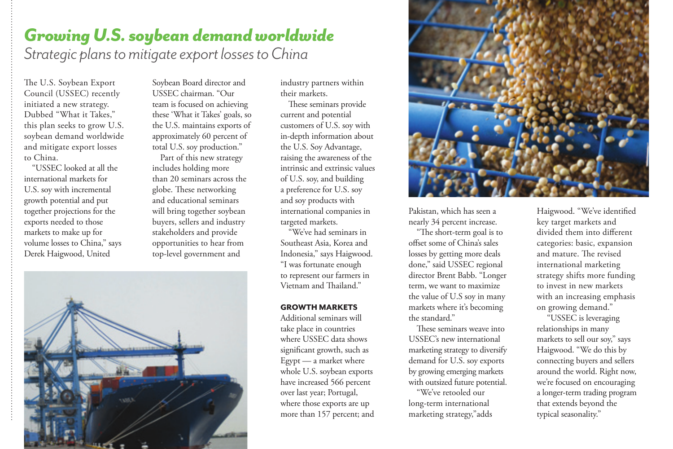### *Growing U.S. soybean demand worldwide*

*Strategic plans to mitigate export losses to China*

The U.S. Soybean Export Council (USSEC) recently initiated a new strategy. Dubbed "What it Takes," this plan seeks to grow U.S. soybean demand worldwide and mitigate export losses to China.

"USSEC looked at all the international markets for U.S. soy with incremental growth potential and put together projections for the exports needed to those markets to make up for volume losses to China," says Derek Haigwood, United

Soybean Board director and USSEC chairman. "Our team is focused on achieving these 'What it Takes' goals, so the U.S. maintains exports of approximately 60 percent of total U.S. soy production."

Part of this new strategy includes holding more than 20 seminars across the globe. These networking and educational seminars will bring together soybean buyers, sellers and industry stakeholders and provide opportunities to hear from top-level government and



industry partners within their markets.

These seminars provide current and potential customers of U.S. soy with in-depth information about the U.S. Soy Advantage, raising the awareness of the intrinsic and extrinsic values of U.S. soy, and building a preference for U.S. soy and soy products with international companies in targeted markets.

"We've had seminars in Southeast Asia, Korea and Indonesia," says Haigwood. "I was fortunate enough to represent our farmers in Vietnam and Thailand."

#### GROWTH MARKETS

Additional seminars will take place in countries where USSEC data shows significant growth, such as Egypt — a market where whole U.S. soybean exports have increased 566 percent over last year; Portugal, where those exports are up more than 157 percent; and



Pakistan, which has seen a nearly 34 percent increase.

"The short-term goal is to offset some of China's sales losses by getting more deals done," said USSEC regional director Brent Babb. "Longer term, we want to maximize the value of U.S soy in many markets where it's becoming the standard."

These seminars weave into USSEC's new international marketing strategy to diversify demand for U.S. soy exports by growing emerging markets with outsized future potential.

"We've retooled our long-term international marketing strategy,"adds

Haigwood. "We've identified key target markets and divided them into different categories: basic, expansion and mature. The revised international marketing strategy shifts more funding to invest in new markets with an increasing emphasis on growing demand."

 "USSEC is leveraging relationships in many markets to sell our soy," says Haigwood. "We do this by connecting buyers and sellers around the world. Right now, we're focused on encouraging a longer-term trading program that extends beyond the typical seasonality."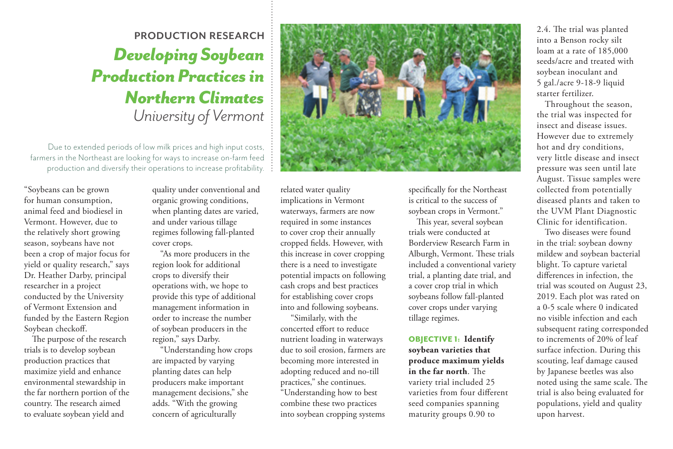### **PRODUCTION RESEARCH** *Developing Soybean Production Practices in Northern Climates University of Vermont*

Due to extended periods of low milk prices and high input costs, farmers in the Northeast are looking for ways to increase on-farm feed production and diversify their operations to increase profitability.

"Soybeans can be grown for human consumption, animal feed and biodiesel in Vermont. However, due to the relatively short growing season, soybeans have not been a crop of major focus for yield or quality research," says Dr. Heather Darby, principal researcher in a project conducted by the University of Vermont Extension and funded by the Eastern Region Soybean checkoff.

The purpose of the research trials is to develop soybean production practices that maximize yield and enhance environmental stewardship in the far northern portion of the country. The research aimed to evaluate soybean yield and

quality under conventional and organic growing conditions, when planting dates are varied, and under various tillage regimes following fall-planted cover crops.

"As more producers in the region look for additional crops to diversify their operations with, we hope to provide this type of additional management information in order to increase the number of soybean producers in the region," says Darby.

"Understanding how crops are impacted by varying planting dates can help producers make important management decisions," she adds. "With the growing concern of agriculturally

related water quality implications in Vermont waterways, farmers are now required in some instances to cover crop their annually cropped fields. However, with this increase in cover cropping there is a need to investigate potential impacts on following cash crops and best practices for establishing cover crops into and following soybeans.

 "Similarly, with the concerted effort to reduce nutrient loading in waterways due to soil erosion, farmers are becoming more interested in adopting reduced and no-till practices," she continues. "Understanding how to best combine these two practices into soybean cropping systems

specifically for the Northeast is critical to the success of soybean crops in Vermont."

This year, several soybean trials were conducted at Borderview Research Farm in Alburgh, Vermont. These trials included a conventional variety trial, a planting date trial, and a cover crop trial in which soybeans follow fall-planted cover crops under varying tillage regimes.

OBJECTIVE 1: **Identify soybean varieties that produce maximum yields in the far north**. The variety trial included 25 varieties from four different seed companies spanning maturity groups 0.90 to

2.4. The trial was planted into a Benson rocky silt loam at a rate of 185,000 seeds/acre and treated with soybean inoculant and 5 gal./acre 9-18-9 liquid starter fertilizer.

Throughout the season, the trial was inspected for insect and disease issues. However due to extremely hot and dry conditions, very little disease and insect pressure was seen until late August. Tissue samples were collected from potentially diseased plants and taken to the UVM Plant Diagnostic Clinic for identification.

Two diseases were found in the trial: soybean downy mildew and soybean bacterial blight. To capture varietal differences in infection, the trial was scouted on August 23, 2019. Each plot was rated on a 0-5 scale where 0 indicated no visible infection and each subsequent rating corresponded to increments of 20% of leaf surface infection. During this scouting, leaf damage caused by Japanese beetles was also noted using the same scale. The trial is also being evaluated for populations, yield and quality upon harvest.

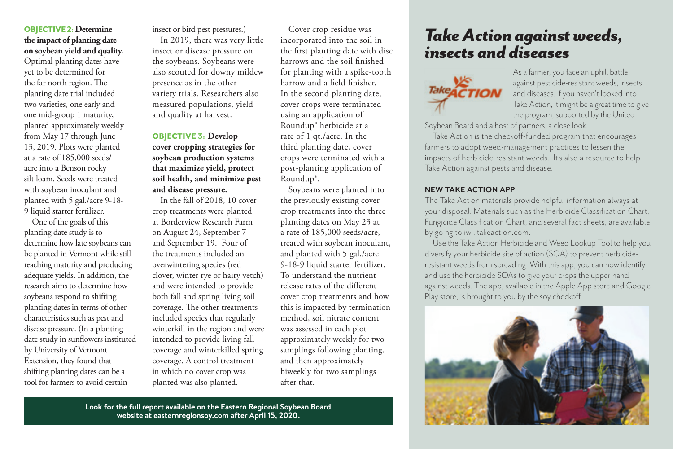### OBJECTIVE 2: **Determine the impact of planting date on soybean yield and quality.**

Optimal planting dates have yet to be determined for the far north region. The planting date trial included two varieties, one early and one mid-group 1 maturity, planted approximately weekly from May 17 through June 13, 2019. Plots were planted at a rate of 185,000 seeds/ acre into a Benson rocky silt loam. Seeds were treated with soybean inoculant and planted with 5 gal./acre 9-18- 9 liquid starter fertilizer.

One of the goals of this planting date study is to determine how late soybeans can be planted in Vermont while still reaching maturity and producing adequate yields. In addition, the research aims to determine how soybeans respond to shifting planting dates in terms of other characteristics such as pest and disease pressure. (In a planting date study in sunflowers instituted by University of Vermont Extension, they found that shifting planting dates can be a tool for farmers to avoid certain

insect or bird pest pressures.) In 2019, there was very little insect or disease pressure on the soybeans. Soybeans were also scouted for downy mildew presence as in the other variety trials. Researchers also measured populations, yield and quality at harvest.

### OBJECTIVE 3: **Develop cover cropping strategies for soybean production systems that maximize yield, protect soil health, and minimize pest and disease pressure.**

In the fall of 2018, 10 cover crop treatments were planted at Borderview Research Farm on August 24, September 7 and September 19. Four of the treatments included an overwintering species (red clover, winter rye or hairy vetch) and were intended to provide both fall and spring living soil coverage. The other treatments included species that regularly winterkill in the region and were intended to provide living fall coverage and winterkilled spring coverage. A control treatment in which no cover crop was planted was also planted.

Cover crop residue was incorporated into the soil in the first planting date with disc harrows and the soil finished for planting with a spike-tooth harrow and a field finisher. In the second planting date, cover crops were terminated using an application of Roundup® herbicide at a rate of 1 qt./acre. In the third planting date, cover crops were terminated with a post-planting application of Roundup®.

Soybeans were planted into the previously existing cover crop treatments into the three planting dates on May 23 at a rate of 185,000 seeds/acre, treated with soybean inoculant, and planted with 5 gal./acre 9-18-9 liquid starter fertilizer. To understand the nutrient release rates of the different cover crop treatments and how this is impacted by termination method, soil nitrate content was assessed in each plot approximately weekly for two samplings following planting, and then approximately biweekly for two samplings after that.

**Look for the full report available on the Eastern Regional Soybean Board website at easternregionsoy.com after April 15, 2020.** 

### *Take Action against weeds, insects and diseases*



As a farmer, you face an uphill battle against pesticide-resistant weeds, insects and diseases. If you haven't looked into Take Action, it might be a great time to give the program, supported by the United

Soybean Board and a host of partners, a close look.

Take Action is the checkoff-funded program that encourages farmers to adopt weed-management practices to lessen the impacts of herbicide-resistant weeds. It's also a resource to help Take Action against pests and disease.

#### **NEW TAKE ACTION APP**

The Take Action materials provide helpful information always at your disposal. Materials such as the Herbicide Classification Chart, Fungicide Classification Chart, and several fact sheets, are available by going to iwilltakeaction.com.

Use the Take Action Herbicide and Weed Lookup Tool to help you diversify your herbicide site of action (SOA) to prevent herbicideresistant weeds from spreading. With this app, you can now identify and use the herbicide SOAs to give your crops the upper hand against weeds. The app, available in the Apple App store and Google Play store, is brought to you by the soy checkoff.